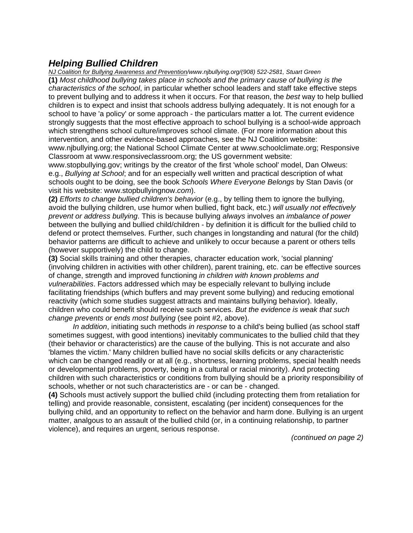## *Helping Bullied Children*

*NJ Coalition for Bullying Awareness and Prevention/www.njbullying.org/(908) 522-2581, Stuart Green*  **(1)** *Most childhood bullying takes place in schools and the primary cause of bullying is the characteristics of the school*, in particular whether school leaders and staff take effective steps to prevent bullying and to address it when it occurs. For that reason, the *best* way to help bullied children is to expect and insist that schools address bullying adequately. It is not enough for a school to have 'a policy' or some approach - the particulars matter a lot. The current evidence strongly suggests that the most effective approach to school bullying is a school-wide approach which strengthens school culture/improves school climate. (For more information about this intervention, and other evidence-based approaches, see the NJ Coalition website: www.njbullying.org; the National School Climate Center at www.schoolclimate.org; Responsive

Classroom at www.responsiveclassroom.org; the US government website:

www.stopbullying.gov; writings by the creator of the first 'whole school' model, Dan Olweus: e.g., *Bullying at School*; and for an especially well written and practical description of what schools ought to be doing, see the book *Schools Where Everyone Belongs* by Stan Davis (or visit his website: www.stopbullyingnow.*com*).

**(2)** *Efforts to change bullied children's behavior* (e.g., by telling them to ignore the bullying, avoid the bullying children, use humor when bullied, fight back, etc.) *will usually not effectively prevent or address bullying*. This is because bullying *always* involves an *imbalance of power*  between the bullying and bullied child/children - by definition it is difficult for the bullied child to defend or protect themselves. Further, such changes in longstanding and natural (for the child) behavior patterns are difficult to achieve and unlikely to occur because a parent or others tells (however supportively) the child to change.

**(3)** Social skills training and other therapies, character education work, 'social planning' (involving children in activities with other children), parent training, etc. *can* be effective sources of change, strength and improved functioning *in children with known problems and vulnerabilities*. Factors addressed which may be especially relevant to bullying include facilitating friendships (which buffers and may prevent some bullying) and reducing emotional reactivity (which some studies suggest attracts and maintains bullying behavior). Ideally, children who could benefit should receive such services. *But the evidence is weak that such change prevents or ends most bullying* (see point #2, above).

 *In addition*, initiating such methods *in response* to a child's being bullied (as school staff sometimes suggest, with good intentions) inevitably communicates to the bullied child that they (their behavior or characteristics) are the cause of the bullying. This is not accurate and also 'blames the victim.' Many children bullied have no social skills deficits or any characteristic which can be changed readily or at all (e.g., shortness, learning problems, special health needs or developmental problems, poverty, being in a cultural or racial minority). And protecting children with such characteristics or conditions from bullying should be a priority responsibility of schools, whether or not such characteristics are - or can be - changed.

**(4)** Schools must actively support the bullied child (including protecting them from retaliation for telling) and provide reasonable, consistent, escalating (per incident) consequences for the bullying child, and an opportunity to reflect on the behavior and harm done. Bullying is an urgent matter, analgous to an assault of the bullied child (or, in a continuing relationship, to partner violence), and requires an urgent, serious response.

*(continued on page 2)*